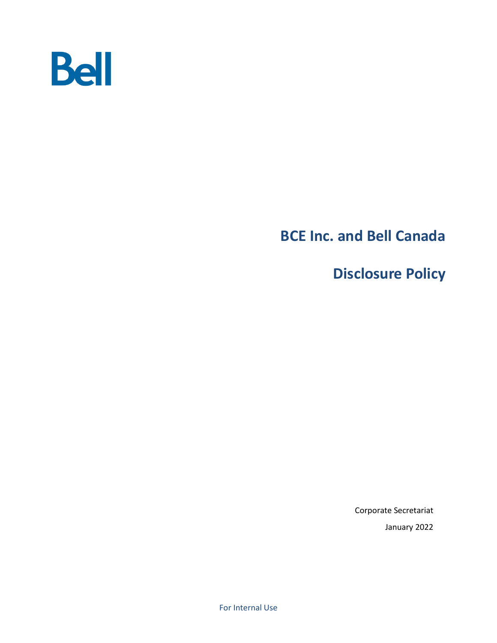

# **BCE Inc. and Bell Canada**

**Disclosure Policy**

Corporate Secretariat January 2022

For Internal Use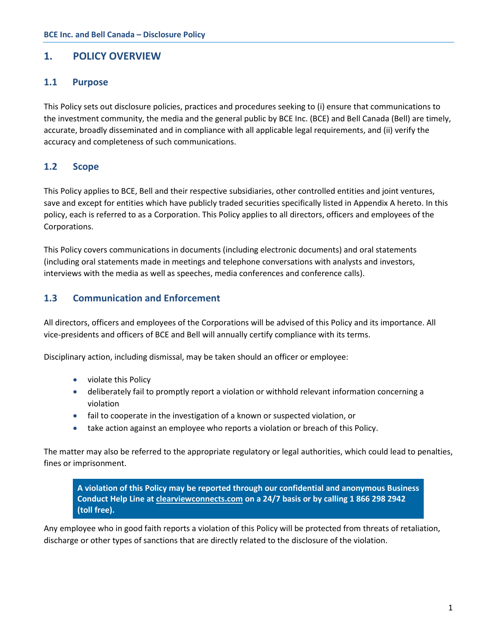## **1. POLICY OVERVIEW**

### **1.1 Purpose**

This Policy sets out disclosure policies, practices and procedures seeking to (i) ensure that communications to the investment community, the media and the general public by BCE Inc. (BCE) and Bell Canada (Bell) are timely, accurate, broadly disseminated and in compliance with all applicable legal requirements, and (ii) verify the accuracy and completeness of such communications.

## **1.2 Scope**

This Policy applies to BCE, Bell and their respective subsidiaries, other controlled entities and joint ventures, save and except for entities which have publicly traded securities specifically listed in Appendix A hereto. In this policy, each is referred to as a Corporation. This Policy applies to all directors, officers and employees of the Corporations.

This Policy covers communications in documents (including electronic documents) and oral statements (including oral statements made in meetings and telephone conversations with analysts and investors, interviews with the media as well as speeches, media conferences and conference calls).

### **1.3 Communication and Enforcement**

All directors, officers and employees of the Corporations will be advised of this Policy and its importance. All vice-presidents and officers of BCE and Bell will annually certify compliance with its terms.

Disciplinary action, including dismissal, may be taken should an officer or employee:

- violate this Policy
- deliberately fail to promptly report a violation or withhold relevant information concerning a violation
- fail to cooperate in the investigation of a known or suspected violation, or
- take action against an employee who reports a violation or breach of this Policy.

The matter may also be referred to the appropriate regulatory or legal authorities, which could lead to penalties, fines or imprisonment.

**A violation of this Policy may be reported through our confidential and anonymous Business Conduct Help Line at [clearviewconnects.com](https://www.clearviewconnects.com/home) on a 24/7 basis or by calling 1 866 298 2942 (toll free).**

Any employee who in good faith reports a violation of this Policy will be protected from threats of retaliation, discharge or other types of sanctions that are directly related to the disclosure of the violation.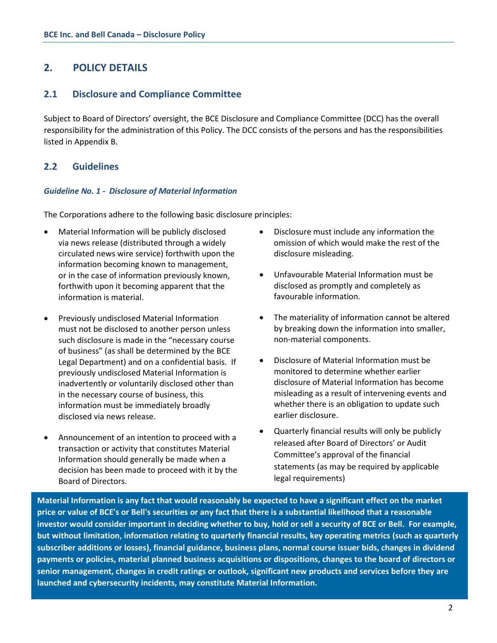## **2. POLICY DETAILS**

### **2.1 Disclosure and Compliance Committee**

Subject to Board of Directors' oversight, the BCE Disclosure and Compliance Committee (DCC) has the overall responsibility for the administration of this Policy. The DCC consists of the persons and has the responsibilities listed in Appendix B.

## **2.2 Guidelines**

#### *Guideline No. 1 - Disclosure of Material Information*

The Corporations adhere to the following basic disclosure principles:

- Material Information will be publicly disclosed via news release (distributed through a widely circulated news wire service) forthwith upon the information becoming known to management, or in the case of information previously known, forthwith upon it becoming apparent that the information is material.
- Previously undisclosed Material Information must not be disclosed to another person unless such disclosure is made in the "necessary course of business" (as shall be determined by the BCE Legal Department) and on a confidential basis. If previously undisclosed Material Information is inadvertently or voluntarily disclosed other than in the necessary course of business, this information must be immediately broadly disclosed via news release.
- Announcement of an intention to proceed with a transaction or activity that constitutes Material Information should generally be made when a decision has been made to proceed with it by the Board of Directors.
- Disclosure must include any information the omission of which would make the rest of the disclosure misleading.
- Unfavourable Material Information must be disclosed as promptly and completely as favourable information.
- The materiality of information cannot be altered by breaking down the information into smaller, non-material components.
- Disclosure of Material Information must be monitored to determine whether earlier disclosure of Material Information has become misleading as a result of intervening events and whether there is an obligation to update such earlier disclosure.
- Quarterly financial results will only be publicly released after Board of Directors' or Audit Committee's approval of the financial statements (as may be required by applicable legal requirements)

**Material Information is any fact that would reasonably be expected to have a significant effect on the market price or value of BCE's or Bell's securities or any fact that there is a substantial likelihood that a reasonable investor would consider important in deciding whether to buy, hold or sell a security of BCE or Bell. For example, but without limitation, information relating to quarterly financial results, key operating metrics (such as quarterly subscriber additions or losses), financial guidance, business plans, normal course issuer bids, changes in dividend payments or policies, material planned business acquisitions or dispositions, changes to the board of directors or senior management, changes in credit ratings or outlook, significant new products and services before they are launched and cybersecurity incidents, may constitute Material Information.**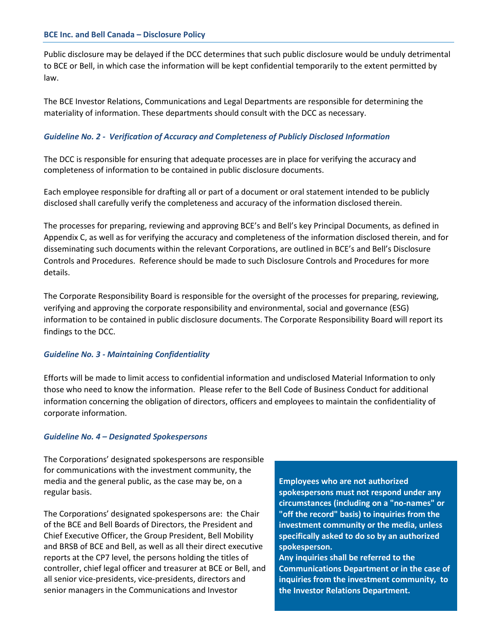Public disclosure may be delayed if the DCC determines that such public disclosure would be unduly detrimental to BCE or Bell, in which case the information will be kept confidential temporarily to the extent permitted by law.

The BCE Investor Relations, Communications and Legal Departments are responsible for determining the materiality of information. These departments should consult with the DCC as necessary.

#### *Guideline No. 2 - Verification of Accuracy and Completeness of Publicly Disclosed Information*

The DCC is responsible for ensuring that adequate processes are in place for verifying the accuracy and completeness of information to be contained in public disclosure documents.

Each employee responsible for drafting all or part of a document or oral statement intended to be publicly disclosed shall carefully verify the completeness and accuracy of the information disclosed therein.

The processes for preparing, reviewing and approving BCE's and Bell's key Principal Documents, as defined in Appendix C, as well as for verifying the accuracy and completeness of the information disclosed therein, and for disseminating such documents within the relevant Corporations, are outlined in BCE's and Bell's Disclosure Controls and Procedures. Reference should be made to such Disclosure Controls and Procedures for more details.

The Corporate Responsibility Board is responsible for the oversight of the processes for preparing, reviewing, verifying and approving the corporate responsibility and environmental, social and governance (ESG) information to be contained in public disclosure documents. The Corporate Responsibility Board will report its findings to the DCC.

#### *Guideline No. 3 - Maintaining Confidentiality*

Efforts will be made to limit access to confidential information and undisclosed Material Information to only those who need to know the information. Please refer to the Bell Code of Business Conduct for additional information concerning the obligation of directors, officers and employees to maintain the confidentiality of corporate information.

#### *Guideline No. 4 – Designated Spokespersons*

The Corporations' designated spokespersons are responsible for communications with the investment community, the media and the general public, as the case may be, on a regular basis.

The Corporations' designated spokespersons are: the Chair of the BCE and Bell Boards of Directors, the President and Chief Executive Officer, the Group President, Bell Mobility and BRSB of BCE and Bell, as well as all their direct executive reports at the CP7 level, the persons holding the titles of controller, chief legal officer and treasurer at BCE or Bell, and all senior vice-presidents, vice-presidents, directors and senior managers in the Communications and Investor

**Employees who are not authorized spokespersons must not respond under any circumstances (including on a "no-names" or "off the record" basis) to inquiries from the investment community or the media, unless specifically asked to do so by an authorized spokesperson.** 

**Any inquiries shall be referred to the Communications Department or in the case of inquiries from the investment community, to the Investor Relations Department.**

3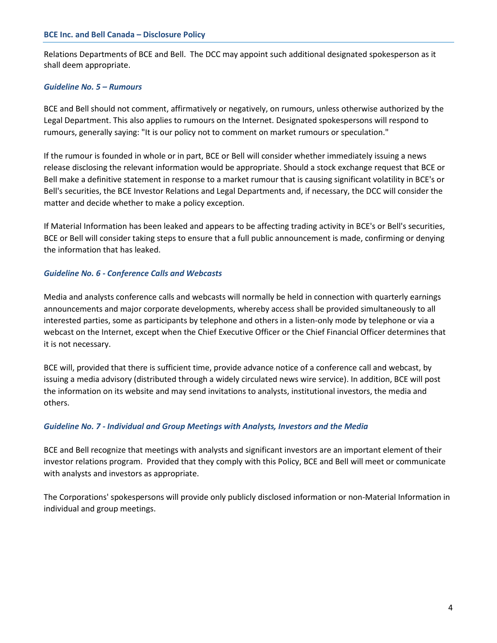Relations Departments of BCE and Bell. The DCC may appoint such additional designated spokesperson as it shall deem appropriate.

#### *Guideline No. 5 – Rumours*

BCE and Bell should not comment, affirmatively or negatively, on rumours, unless otherwise authorized by the Legal Department. This also applies to rumours on the Internet. Designated spokespersons will respond to rumours, generally saying: "It is our policy not to comment on market rumours or speculation."

If the rumour is founded in whole or in part, BCE or Bell will consider whether immediately issuing a news release disclosing the relevant information would be appropriate. Should a stock exchange request that BCE or Bell make a definitive statement in response to a market rumour that is causing significant volatility in BCE's or Bell's securities, the BCE Investor Relations and Legal Departments and, if necessary, the DCC will consider the matter and decide whether to make a policy exception.

If Material Information has been leaked and appears to be affecting trading activity in BCE's or Bell's securities, BCE or Bell will consider taking steps to ensure that a full public announcement is made, confirming or denying the information that has leaked.

#### *Guideline No. 6 - Conference Calls and Webcasts*

Media and analysts conference calls and webcasts will normally be held in connection with quarterly earnings announcements and major corporate developments, whereby access shall be provided simultaneously to all interested parties, some as participants by telephone and others in a listen-only mode by telephone or via a webcast on the Internet, except when the Chief Executive Officer or the Chief Financial Officer determines that it is not necessary.

BCE will, provided that there is sufficient time, provide advance notice of a conference call and webcast, by issuing a media advisory (distributed through a widely circulated news wire service). In addition, BCE will post the information on its website and may send invitations to analysts, institutional investors, the media and others.

#### *Guideline No. 7 - Individual and Group Meetings with Analysts, Investors and the Media*

BCE and Bell recognize that meetings with analysts and significant investors are an important element of their investor relations program. Provided that they comply with this Policy, BCE and Bell will meet or communicate with analysts and investors as appropriate.

The Corporations' spokespersons will provide only publicly disclosed information or non-Material Information in individual and group meetings.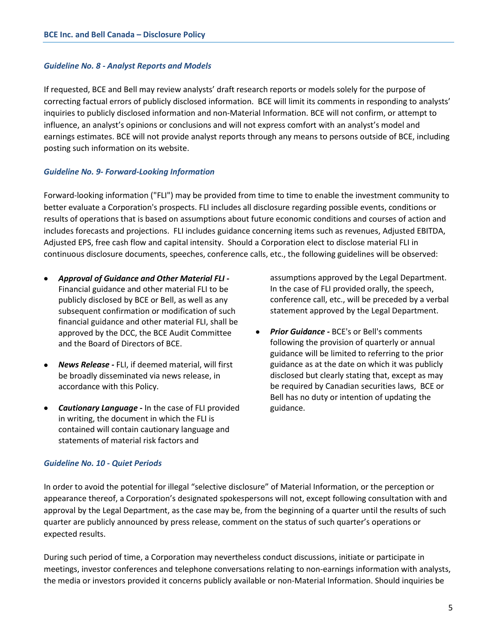#### *Guideline No. 8 - Analyst Reports and Models*

If requested, BCE and Bell may review analysts' draft research reports or models solely for the purpose of correcting factual errors of publicly disclosed information. BCE will limit its comments in responding to analysts' inquiries to publicly disclosed information and non-Material Information. BCE will not confirm, or attempt to influence, an analyst's opinions or conclusions and will not express comfort with an analyst's model and earnings estimates. BCE will not provide analyst reports through any means to persons outside of BCE, including posting such information on its website.

#### *Guideline No. 9- Forward-Looking Information*

Forward-looking information ("FLI") may be provided from time to time to enable the investment community to better evaluate a Corporation's prospects. FLI includes all disclosure regarding possible events, conditions or results of operations that is based on assumptions about future economic conditions and courses of action and includes forecasts and projections. FLI includes guidance concerning items such as revenues, Adjusted EBITDA, Adjusted EPS, free cash flow and capital intensity. Should a Corporation elect to disclose material FLI in continuous disclosure documents, speeches, conference calls, etc., the following guidelines will be observed:

- *Approval of Guidance and Other Material FLI -* Financial guidance and other material FLI to be publicly disclosed by BCE or Bell, as well as any subsequent confirmation or modification of such financial guidance and other material FLI, shall be approved by the DCC, the BCE Audit Committee and the Board of Directors of BCE.
- *News Release -* FLI, if deemed material, will first be broadly disseminated via news release, in accordance with this Policy.
- *Cautionary Language -* In the case of FLI provided in writing, the document in which the FLI is contained will contain cautionary language and statements of material risk factors and

assumptions approved by the Legal Department. In the case of FLI provided orally, the speech, conference call, etc., will be preceded by a verbal statement approved by the Legal Department.

• *Prior Guidance -* BCE's or Bell's comments following the provision of quarterly or annual guidance will be limited to referring to the prior guidance as at the date on which it was publicly disclosed but clearly stating that, except as may be required by Canadian securities laws, BCE or Bell has no duty or intention of updating the guidance.

#### *Guideline No. 10 - Quiet Periods*

In order to avoid the potential for illegal "selective disclosure" of Material Information, or the perception or appearance thereof, a Corporation's designated spokespersons will not, except following consultation with and approval by the Legal Department, as the case may be, from the beginning of a quarter until the results of such quarter are publicly announced by press release, comment on the status of such quarter's operations or expected results.

During such period of time, a Corporation may nevertheless conduct discussions, initiate or participate in meetings, investor conferences and telephone conversations relating to non-earnings information with analysts, the media or investors provided it concerns publicly available or non-Material Information. Should inquiries be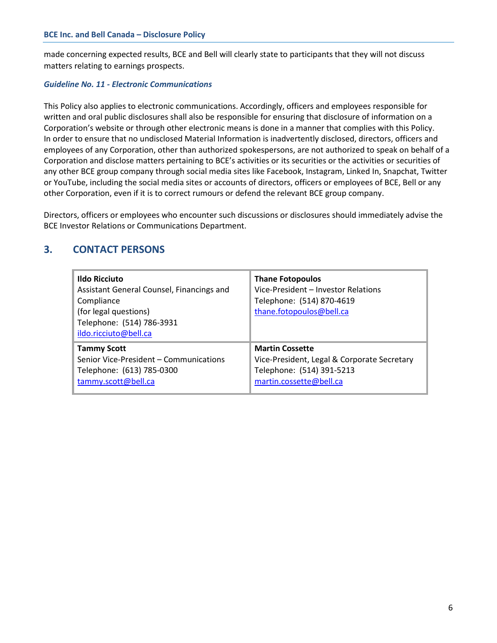made concerning expected results, BCE and Bell will clearly state to participants that they will not discuss matters relating to earnings prospects.

#### *Guideline No. 11 - Electronic Communications*

This Policy also applies to electronic communications. Accordingly, officers and employees responsible for written and oral public disclosures shall also be responsible for ensuring that disclosure of information on a Corporation's website or through other electronic means is done in a manner that complies with this Policy. In order to ensure that no undisclosed Material Information is inadvertently disclosed, directors, officers and employees of any Corporation, other than authorized spokespersons, are not authorized to speak on behalf of a Corporation and disclose matters pertaining to BCE's activities or its securities or the activities or securities of any other BCE group company through social media sites like Facebook, Instagram, Linked In, Snapchat, Twitter or YouTube, including the social media sites or accounts of directors, officers or employees of BCE, Bell or any other Corporation, even if it is to correct rumours or defend the relevant BCE group company.

Directors, officers or employees who encounter such discussions or disclosures should immediately advise the BCE Investor Relations or Communications Department.

## **3. CONTACT PERSONS**

| <b>Ildo Ricciuto</b><br>Assistant General Counsel, Financings and<br>Compliance<br>(for legal questions)<br>Telephone: (514) 786-3931<br>ildo.ricciuto@bell.ca | <b>Thane Fotopoulos</b><br>Vice-President - Investor Relations<br>Telephone: (514) 870-4619<br>thane.fotopoulos@bell.ca |
|----------------------------------------------------------------------------------------------------------------------------------------------------------------|-------------------------------------------------------------------------------------------------------------------------|
| <b>Tammy Scott</b>                                                                                                                                             | <b>Martin Cossette</b>                                                                                                  |
| Senior Vice-President – Communications                                                                                                                         | Vice-President, Legal & Corporate Secretary                                                                             |
| Telephone: (613) 785-0300                                                                                                                                      | Telephone: (514) 391-5213                                                                                               |
| tammy.scott@bell.ca                                                                                                                                            | martin.cossette@bell.ca                                                                                                 |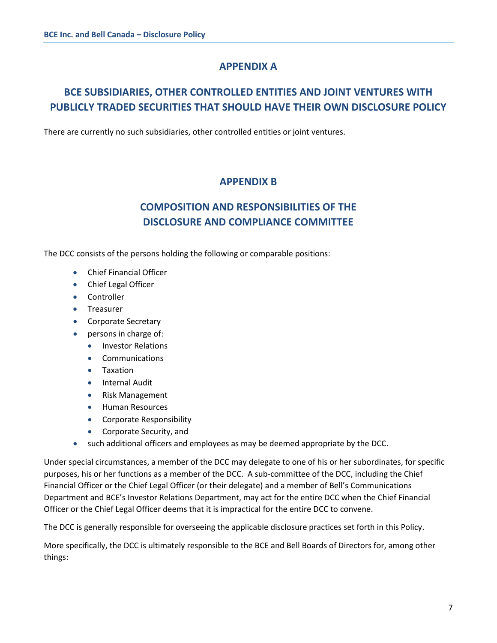## **APPENDIX A**

## **BCE SUBSIDIARIES, OTHER CONTROLLED ENTITIES AND JOINT VENTURES WITH PUBLICLY TRADED SECURITIES THAT SHOULD HAVE THEIR OWN DISCLOSURE POLICY**

There are currently no such subsidiaries, other controlled entities or joint ventures.

## **APPENDIX B**

## **COMPOSITION AND RESPONSIBILITIES OF THE DISCLOSURE AND COMPLIANCE COMMITTEE**

The DCC consists of the persons holding the following or comparable positions:

- Chief Financial Officer
- Chief Legal Officer
- Controller
- Treasurer
- Corporate Secretary
- persons in charge of:
	- Investor Relations
		- Communications
		- Taxation
	- Internal Audit
	- Risk Management
	- Human Resources
	- Corporate Responsibility
	- Corporate Security, and
- such additional officers and employees as may be deemed appropriate by the DCC.

Under special circumstances, a member of the DCC may delegate to one of his or her subordinates, for specific purposes, his or her functions as a member of the DCC. A sub-committee of the DCC, including the Chief Financial Officer or the Chief Legal Officer (or their delegate) and a member of Bell's Communications Department and BCE's Investor Relations Department, may act for the entire DCC when the Chief Financial Officer or the Chief Legal Officer deems that it is impractical for the entire DCC to convene.

The DCC is generally responsible for overseeing the applicable disclosure practices set forth in this Policy.

More specifically, the DCC is ultimately responsible to the BCE and Bell Boards of Directors for, among other things: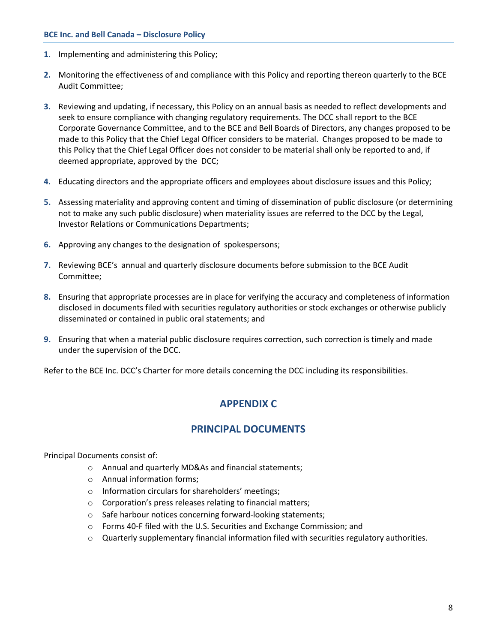- **1.** Implementing and administering this Policy;
- **2.** Monitoring the effectiveness of and compliance with this Policy and reporting thereon quarterly to the BCE Audit Committee;
- **3.** Reviewing and updating, if necessary, this Policy on an annual basis as needed to reflect developments and seek to ensure compliance with changing regulatory requirements. The DCC shall report to the BCE Corporate Governance Committee, and to the BCE and Bell Boards of Directors, any changes proposed to be made to this Policy that the Chief Legal Officer considers to be material. Changes proposed to be made to this Policy that the Chief Legal Officer does not consider to be material shall only be reported to and, if deemed appropriate, approved by the DCC;
- **4.** Educating directors and the appropriate officers and employees about disclosure issues and this Policy;
- **5.** Assessing materiality and approving content and timing of dissemination of public disclosure (or determining not to make any such public disclosure) when materiality issues are referred to the DCC by the Legal, Investor Relations or Communications Departments;
- **6.** Approving any changes to the designation of spokespersons;
- **7.** Reviewing BCE's annual and quarterly disclosure documents before submission to the BCE Audit Committee;
- **8.** Ensuring that appropriate processes are in place for verifying the accuracy and completeness of information disclosed in documents filed with securities regulatory authorities or stock exchanges or otherwise publicly disseminated or contained in public oral statements; and
- **9.** Ensuring that when a material public disclosure requires correction, such correction is timely and made under the supervision of the DCC.

Refer to the BCE Inc. DCC's Charter for more details concerning the DCC including its responsibilities.

## **APPENDIX C**

## **PRINCIPAL DOCUMENTS**

Principal Documents consist of:

- o Annual and quarterly MD&As and financial statements;
- o Annual information forms;
- o Information circulars for shareholders' meetings;
- o Corporation's press releases relating to financial matters;
- o Safe harbour notices concerning forward-looking statements;
- o Forms 40-F filed with the U.S. Securities and Exchange Commission; and
- $\circ$  Quarterly supplementary financial information filed with securities regulatory authorities.